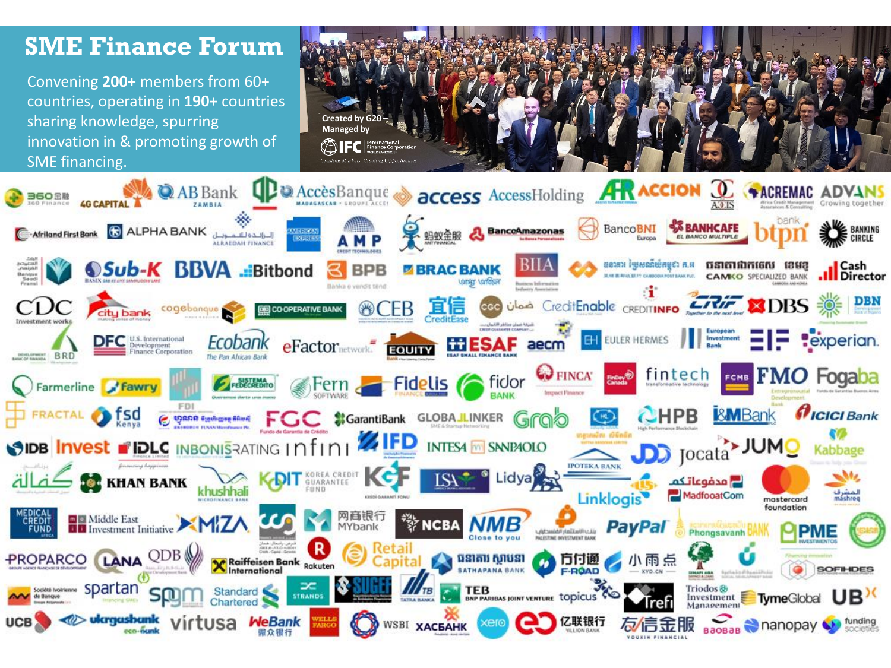#### **SME Finance Forum** Convening **200+** members from 60+ countries, operating in **190+** countries sharing knowledge, spurring **Created by G20 – Managed by** innovation in & promoting growth of SME financing.Creating Markets, Creating Oppo **access AccessHolding AR ACCION Q** +ACREMAC ADV **QP** Accès Banque **Q** AB Bank BancoBNI (السائدة للسمويلي ALPHA BANK هـ Afriland First Bank A BanceAmazonas

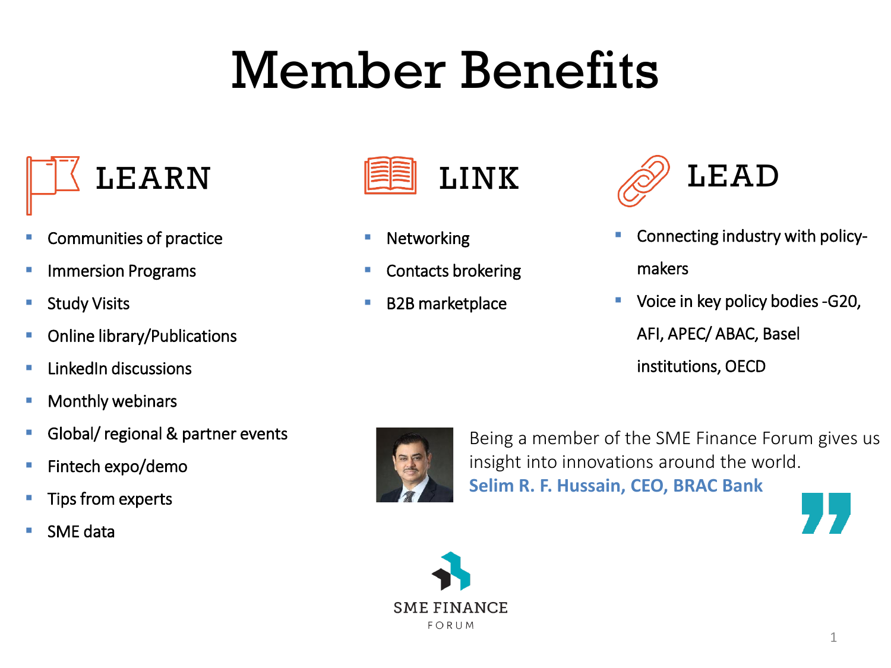# Member Benefits



- Communities of practice
- **E** Immersion Programs
- Study Visits
- **•** Online library/Publications
- **LinkedIn discussions**
- Monthly webinars
- **E** Global/ regional & partner events
- **E** Fintech expo/demo
- Tips from experts
- **SME** data



- Networking
- Contacts brokering
- **B2B** marketplace



- Connecting industry with policymakers
- Voice in key policy bodies -G20, AFI, APEC/ ABAC, Basel
	- institutions, OECD



Being a member of the SME Finance Forum gives us insight into innovations around the world. **Selim R. F. Hussain, CEO, BRAC Bank** 



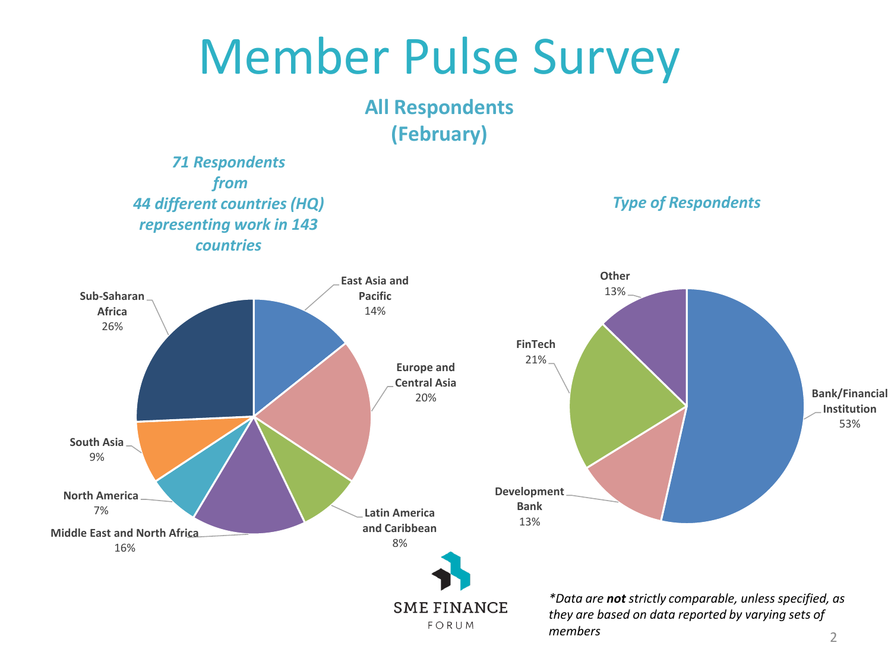**All Respondents (February)**

*71 Respondents from 44 different countries (HQ) representing work in 143 countries*

*Type of Respondents*

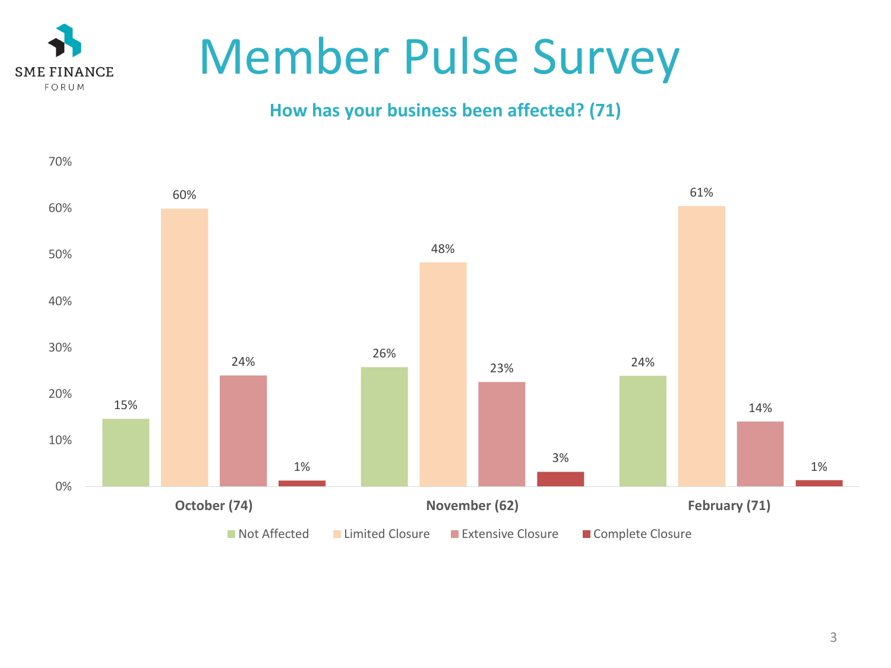

### **How has your business been affected? (71)**

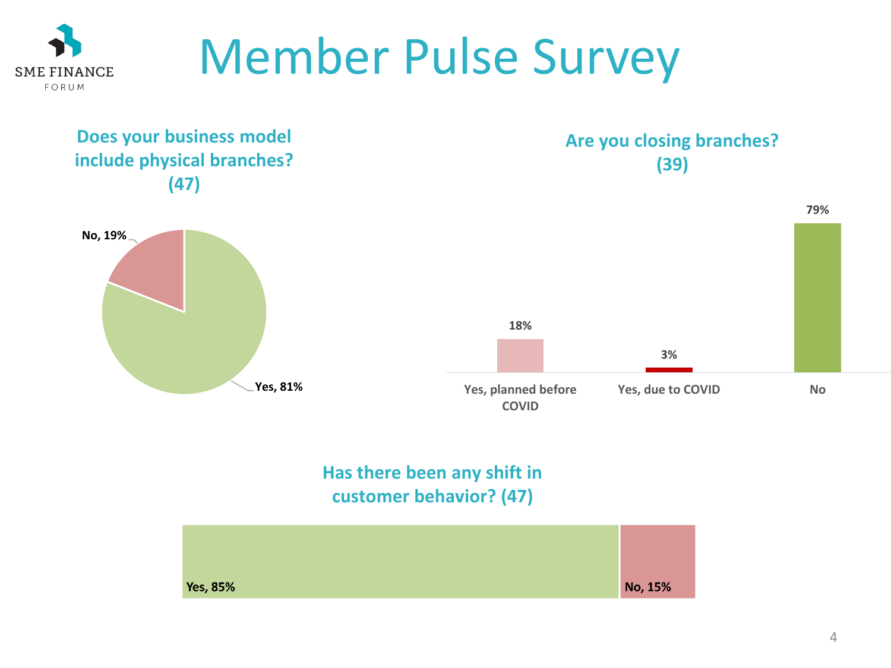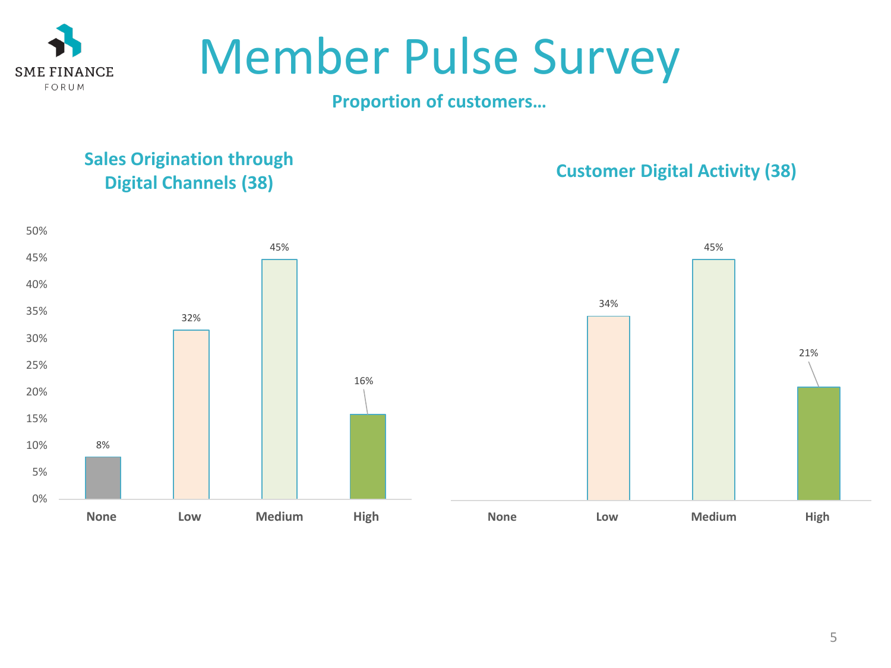

#### **Proportion of customers…**

### **Sales Origination through Digital Channels (38) Customer Digital Activity (38)**

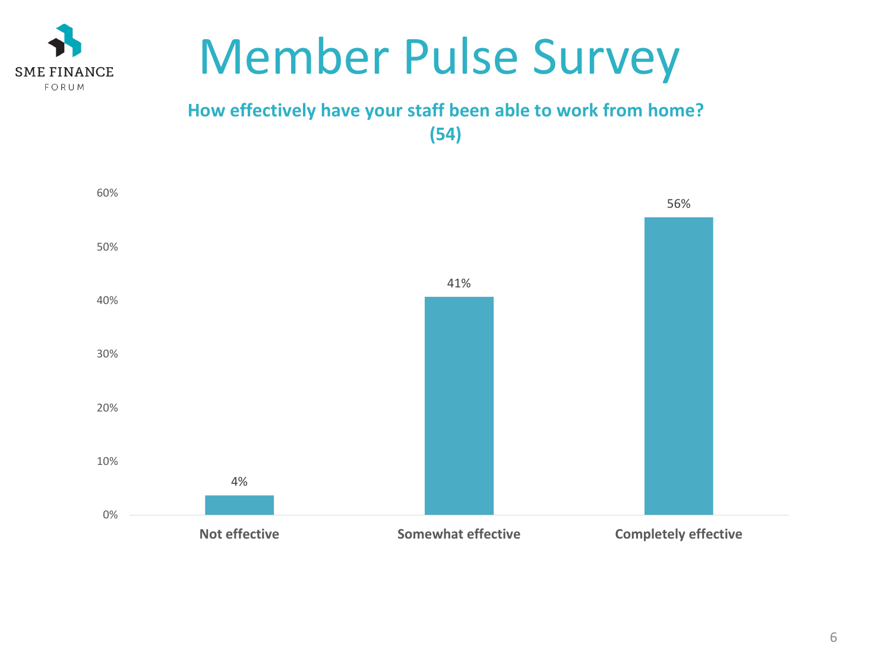

FORUM

### **How effectively have your staff been able to work from home? (54)**

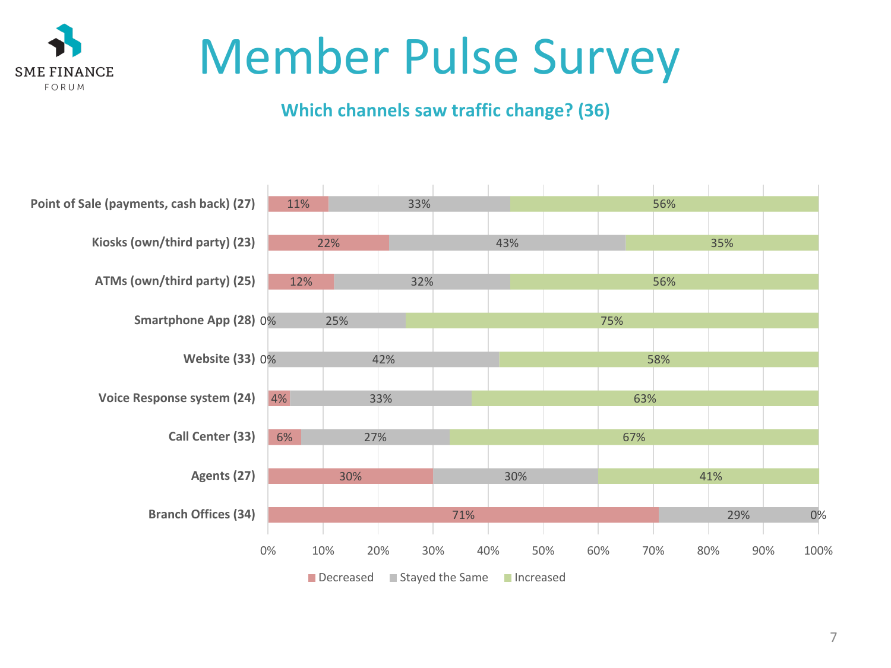

### **Which channels saw traffic change? (36)**

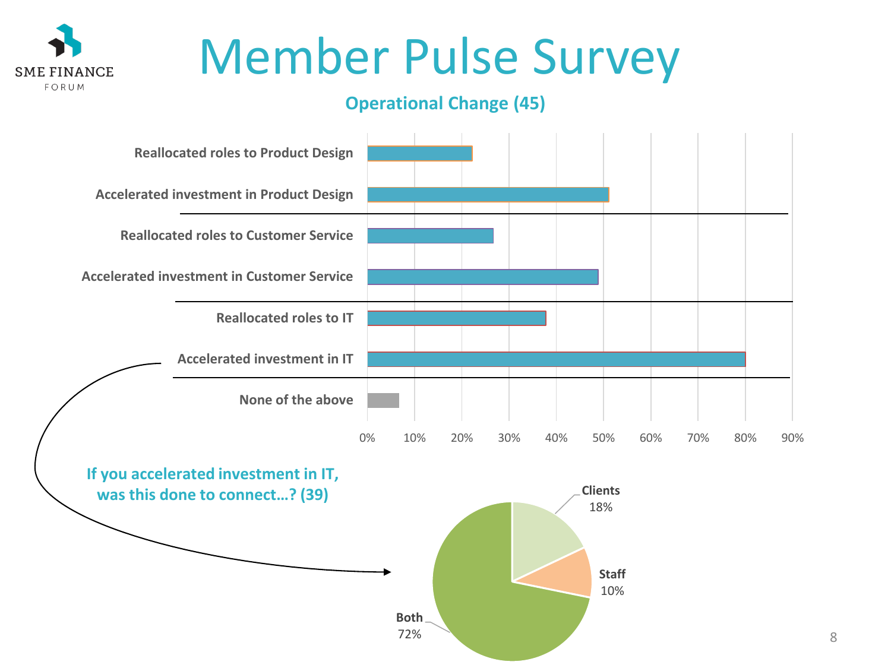

### **Operational Change (45)**



8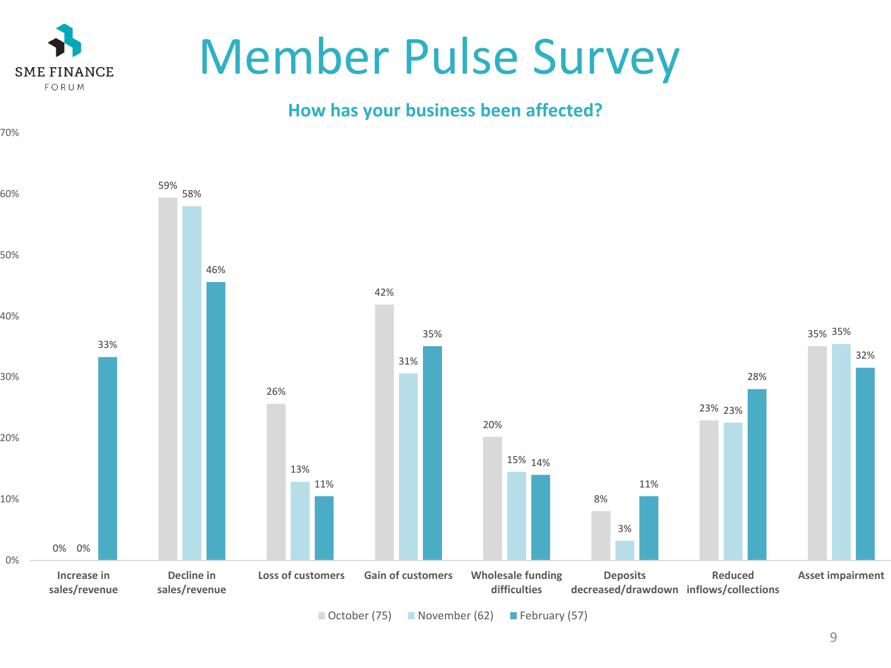

70%

# Member Pulse Survey

### **How has your business been affected?**

0% 0% 59% 26% 42% 20% 8% 23% 23% 35% 35% 58% 13% 31% 15% 14% 3% 33% 46% 11% 35% 11% 28% 32% 0% 10% 20% 30% 40% 50% 60% **Increase in sales/revenue Decline in sales/revenue Loss of customers Gain of customers Wholesale funding difficulties Deposits decreased/drawdown inflows/collections Reduced Asset impairment**

 $\Box$  October (75)  $\Box$  November (62)  $\Box$  February (57)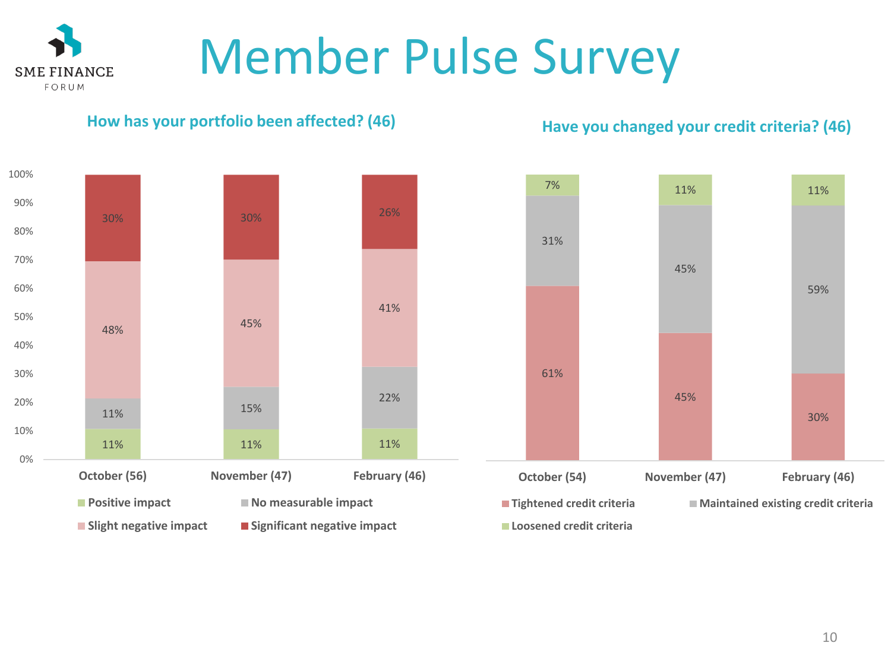#### **How has your portfolio been affected? (46)**

**SME FINANCE** FORUM

**Have you changed your credit criteria? (46)**



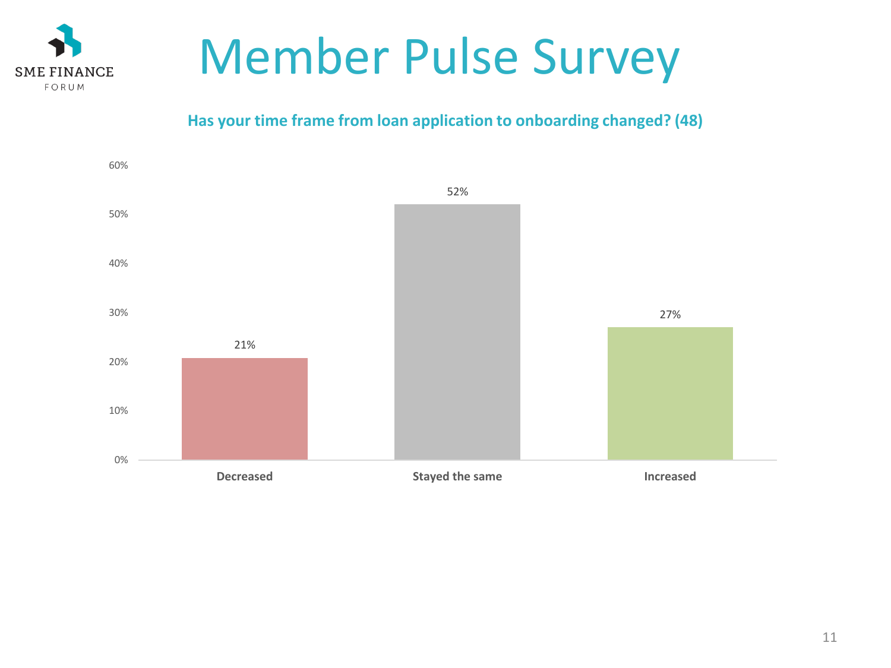

#### **Has your time frame from loan application to onboarding changed? (48)**

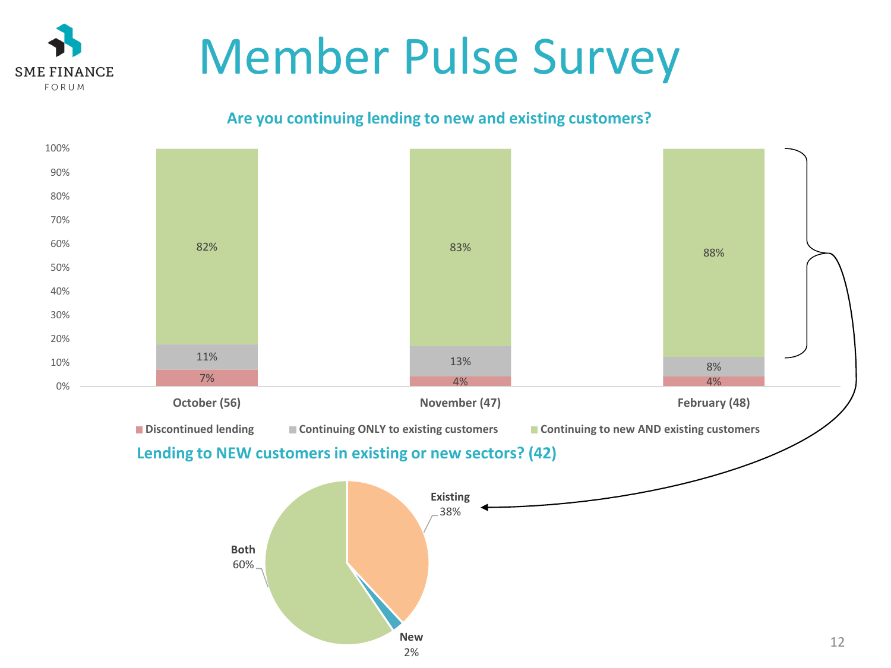

**SME FINANCE** FORUM

#### **Are you continuing lending to new and existing customers?**



2%

12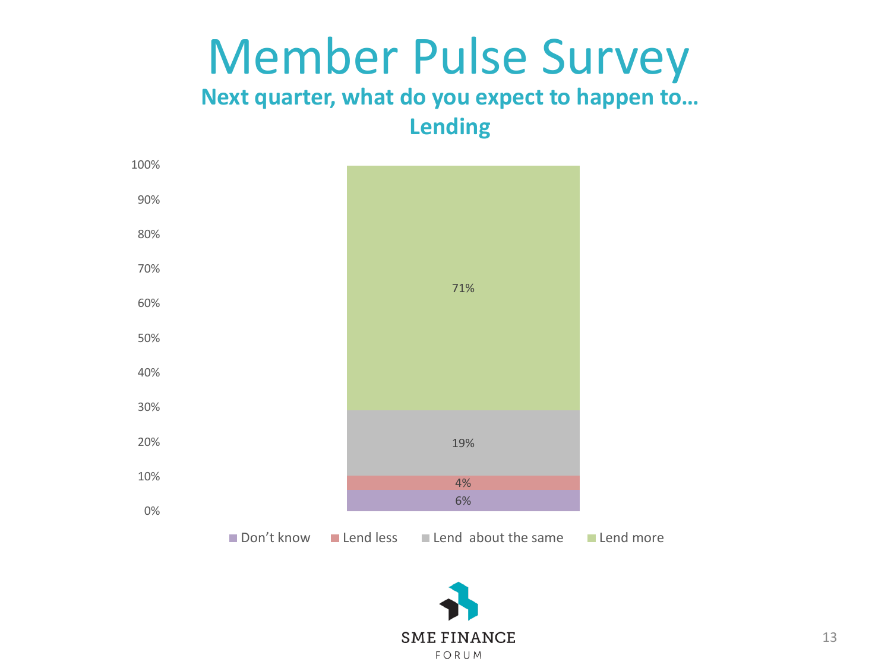**Next quarter, what do you expect to happen to… Lending**



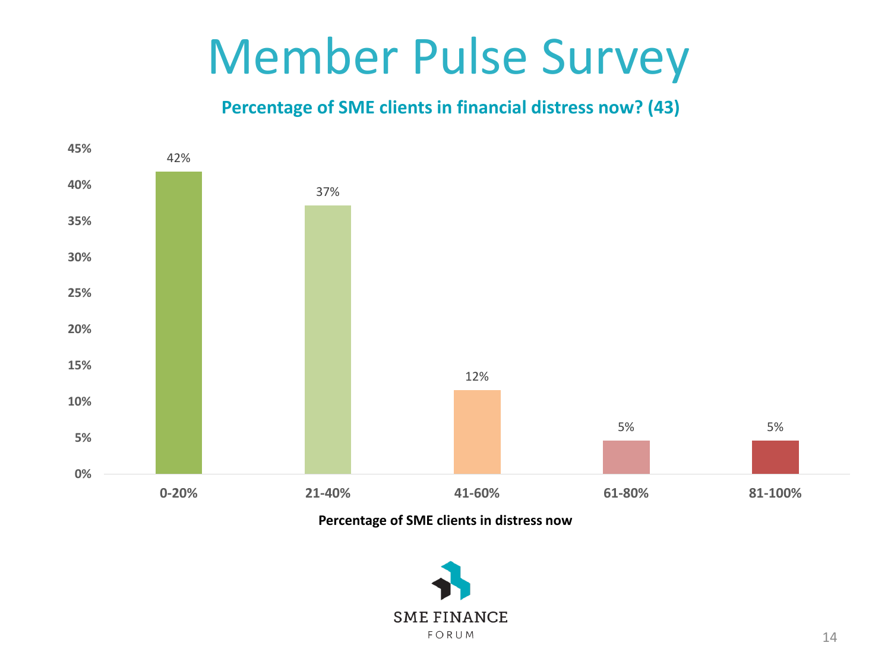### **Percentage of SME clients in financial distress now? (43)**



**Percentage of SME clients in distress now**

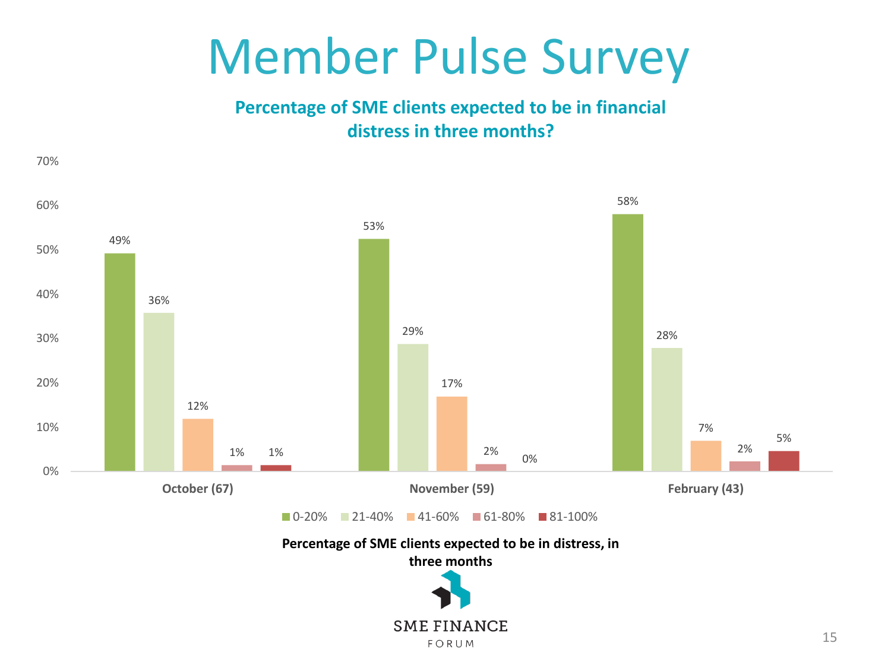**Percentage of SME clients expected to be in financial distress in three months?** 

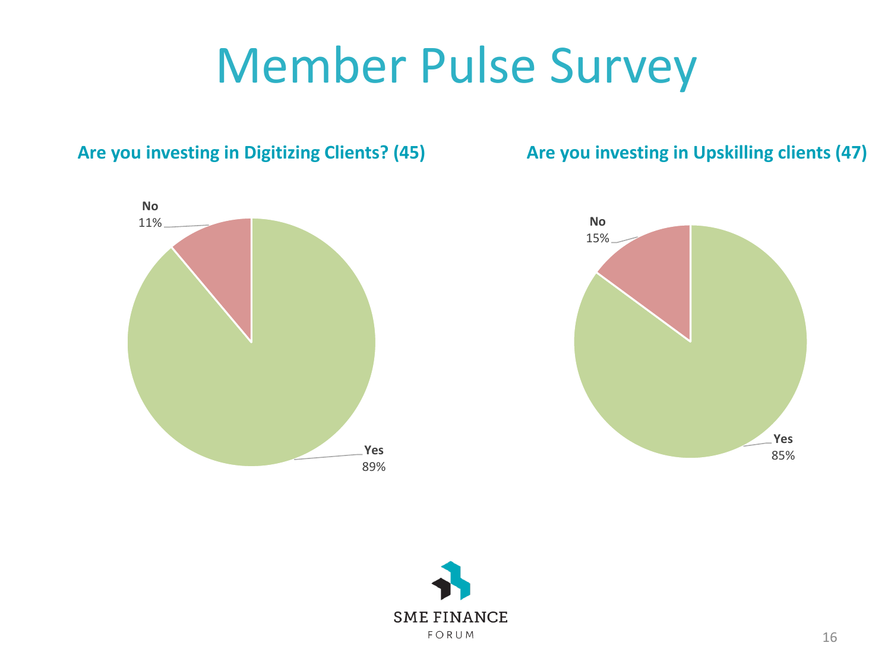### **Are you investing in Digitizing Clients? (45)**

**Are you investing in Upskilling clients (47)**



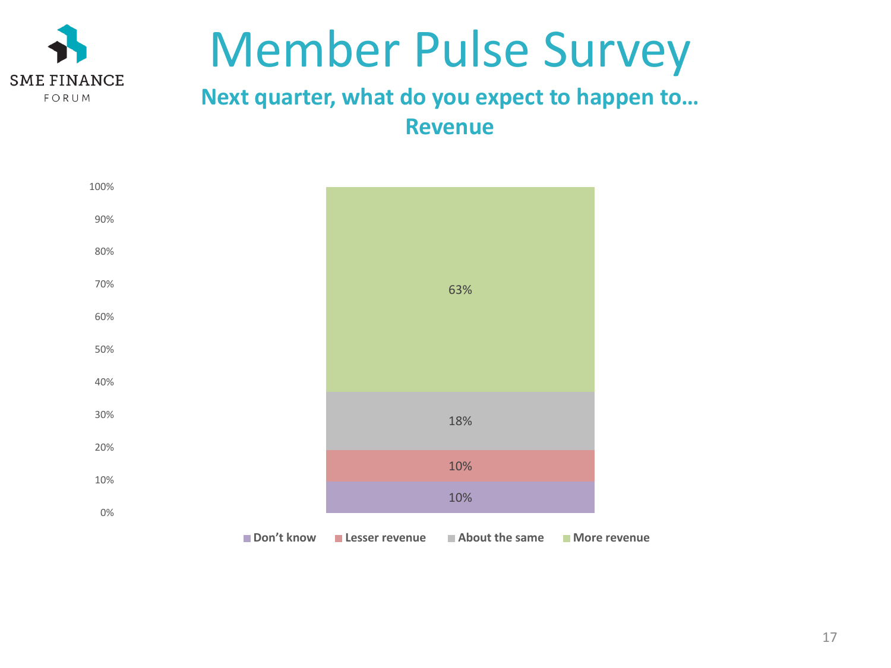

### **Next quarter, what do you expect to happen to… Revenue**

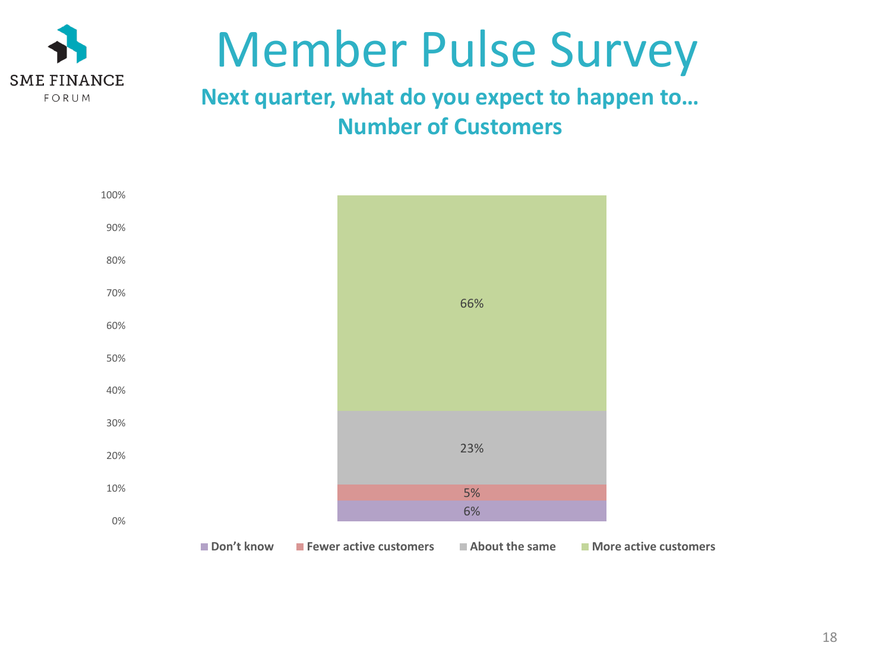

### **Next quarter, what do you expect to happen to… Number of Customers**